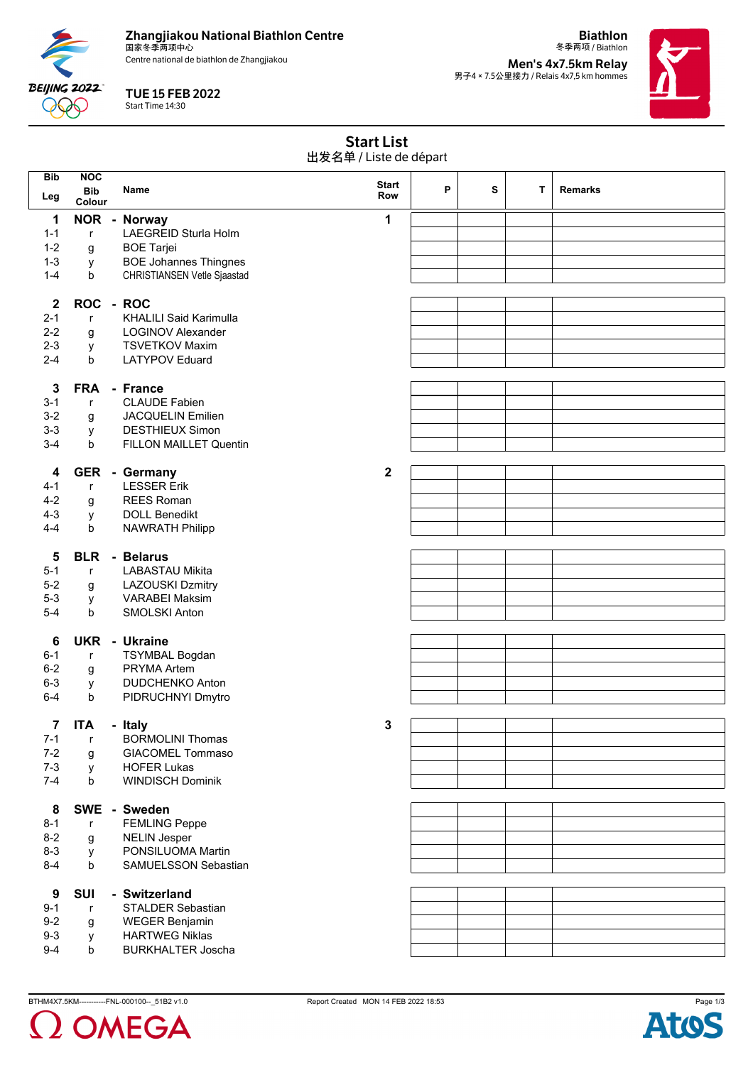**Zhangjiakou National Biathlon Centre** 国家冬季两项中心

Centre national de biathlon de Zhangjiakou

**BEIJING 2022 POP** 

TUE 15 FEB 2022 Start Time 14:30

冬季两项 / Biathlon **Men's 4x7.5km Relay<br>男子4 × 7.5公里接力 / Relais 4x7,5 km hommes** 

**Biathlon**



| <b>Start List</b><br>出发名单 / Liste de départ |                      |  |                                               |              |   |   |   |                |
|---------------------------------------------|----------------------|--|-----------------------------------------------|--------------|---|---|---|----------------|
| <b>Bib</b>                                  | <b>NOC</b>           |  |                                               | <b>Start</b> |   |   |   |                |
| Leg                                         | <b>Bib</b><br>Colour |  | <b>Name</b>                                   | <b>Row</b>   | P | s | T | <b>Remarks</b> |
| 1                                           |                      |  | NOR - Norway                                  | 1            |   |   |   |                |
| $1 - 1$                                     | $\mathsf{r}$         |  | LAEGREID Sturla Holm                          |              |   |   |   |                |
| $1 - 2$                                     |                      |  | <b>BOE Tarjei</b>                             |              |   |   |   |                |
| $1 - 3$                                     | g                    |  | <b>BOE Johannes Thingnes</b>                  |              |   |   |   |                |
| $1 - 4$                                     | y<br>b               |  |                                               |              |   |   |   |                |
|                                             |                      |  | CHRISTIANSEN Vetle Sjaastad                   |              |   |   |   |                |
| $\mathbf{2}$                                | ROC - ROC            |  |                                               |              |   |   |   |                |
| $2 - 1$                                     | $\mathsf{r}$         |  | <b>KHALILI Said Karimulla</b>                 |              |   |   |   |                |
| $2 - 2$                                     | g                    |  | <b>LOGINOV Alexander</b>                      |              |   |   |   |                |
| $2 - 3$                                     | у                    |  | <b>TSVETKOV Maxim</b>                         |              |   |   |   |                |
| $2 - 4$                                     | b                    |  | <b>LATYPOV Eduard</b>                         |              |   |   |   |                |
|                                             |                      |  |                                               |              |   |   |   |                |
| 3                                           | <b>FRA</b>           |  | - France                                      |              |   |   |   |                |
| $3 - 1$                                     | $\mathsf{r}$         |  | <b>CLAUDE Fabien</b>                          |              |   |   |   |                |
| $3-2$                                       | g                    |  | <b>JACQUELIN Emilien</b>                      |              |   |   |   |                |
| $3 - 3$                                     | y                    |  | <b>DESTHIEUX Simon</b>                        |              |   |   |   |                |
| $3-4$                                       | b                    |  | FILLON MAILLET Quentin                        |              |   |   |   |                |
|                                             |                      |  |                                               |              |   |   |   |                |
| 4                                           |                      |  | GER - Germany                                 | $\mathbf{2}$ |   |   |   |                |
| $4 - 1$                                     | $\mathsf{r}$         |  | <b>LESSER Erik</b>                            |              |   |   |   |                |
| $4 - 2$                                     | g                    |  | <b>REES Roman</b>                             |              |   |   |   |                |
| $4 - 3$                                     | y                    |  | <b>DOLL Benedikt</b>                          |              |   |   |   |                |
| $4 - 4$                                     | b                    |  | <b>NAWRATH Philipp</b>                        |              |   |   |   |                |
|                                             |                      |  |                                               |              |   |   |   |                |
| 5                                           |                      |  | <b>BLR</b> - Belarus                          |              |   |   |   |                |
| $5 - 1$                                     | $\mathsf{r}$         |  | LABASTAU Mikita                               |              |   |   |   |                |
| $5-2$                                       | g                    |  | <b>LAZOUSKI Dzmitry</b>                       |              |   |   |   |                |
| $5 - 3$                                     | у                    |  | <b>VARABEI Maksim</b>                         |              |   |   |   |                |
| $5-4$                                       | b                    |  | <b>SMOLSKI Anton</b>                          |              |   |   |   |                |
|                                             |                      |  | <b>UKR</b> - Ukraine                          |              |   |   |   |                |
| 6                                           |                      |  |                                               |              |   |   |   |                |
| $6 - 1$                                     | $\mathsf{r}$         |  | <b>TSYMBAL Bogdan</b>                         |              |   |   |   |                |
| $6 - 2$                                     | g                    |  | PRYMA Artem                                   |              |   |   |   |                |
| $6 - 3$                                     | y                    |  | <b>DUDCHENKO Anton</b>                        |              |   |   |   |                |
| $6 - 4$                                     | b                    |  | PIDRUCHNYI Dmytro                             |              |   |   |   |                |
| 7                                           | <b>ITA</b>           |  | - Italy                                       | 3            |   |   |   |                |
| $7 - 1$                                     | $\mathsf{r}$         |  | <b>BORMOLINI Thomas</b>                       |              |   |   |   |                |
| $7 - 2$                                     |                      |  | <b>GIACOMEL Tommaso</b>                       |              |   |   |   |                |
| $7 - 3$                                     | g                    |  |                                               |              |   |   |   |                |
| $7 - 4$                                     | У                    |  | <b>HOFER Lukas</b><br><b>WINDISCH Dominik</b> |              |   |   |   |                |
|                                             | b                    |  |                                               |              |   |   |   |                |
| 8                                           |                      |  | SWE - Sweden                                  |              |   |   |   |                |
| $8 - 1$                                     | $\mathsf{r}$         |  | <b>FEMLING Peppe</b>                          |              |   |   |   |                |
| $8 - 2$                                     | g                    |  | <b>NELIN Jesper</b>                           |              |   |   |   |                |
| $8 - 3$                                     | y                    |  | PONSILUOMA Martin                             |              |   |   |   |                |
| $8 - 4$                                     | b                    |  | SAMUELSSON Sebastian                          |              |   |   |   |                |
|                                             |                      |  |                                               |              |   |   |   |                |
| 9                                           | <b>SUI</b>           |  | - Switzerland                                 |              |   |   |   |                |
| $9 - 1$                                     | $\mathsf{r}$         |  | STALDER Sebastian                             |              |   |   |   |                |
| $9-2$                                       | g                    |  | <b>WEGER Benjamin</b>                         |              |   |   |   |                |
| $9-3$                                       | у                    |  | <b>HARTWEG Niklas</b>                         |              |   |   |   |                |
| $9 - 4$                                     | b                    |  | <b>BURKHALTER Joscha</b>                      |              |   |   |   |                |



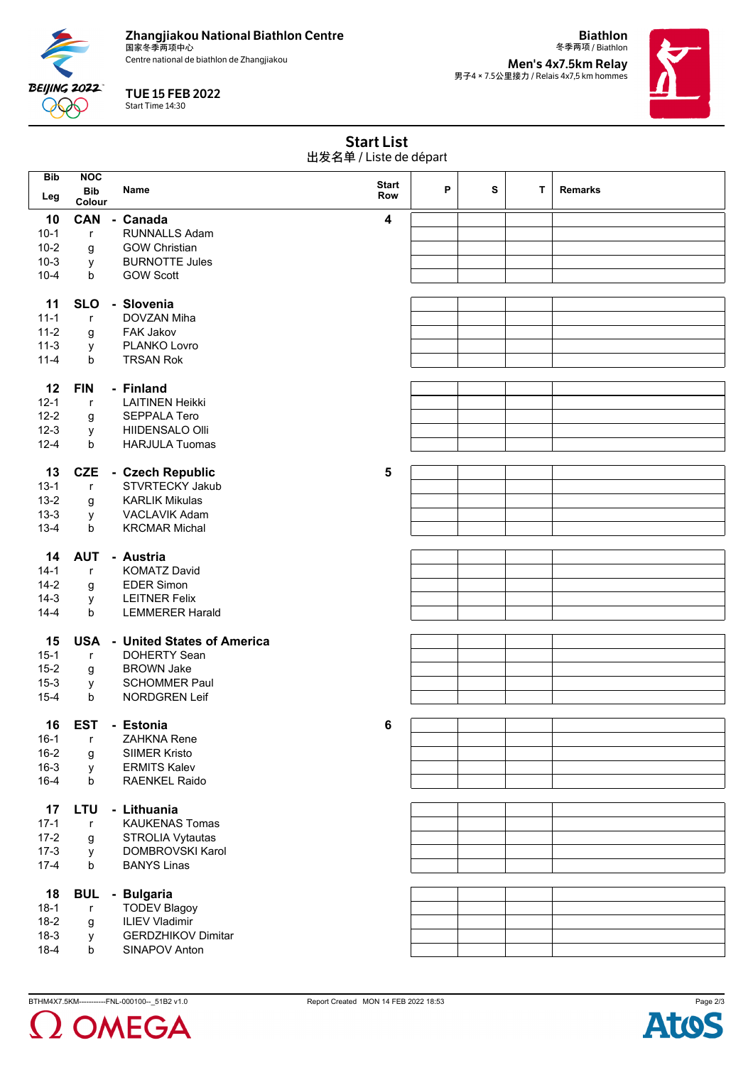**Zhangjiakou National Biathlon Centre**

**BEIJING 2022**  $\Theta$ 

———————————————————<br>国家冬季两项中心 Centre national de biathlon de Zhangjiakou

TUE 15 FEB 2022 Start Time 14:30

冬季两项 / Biathlon **Men's 4x7.5km Relay<br>男子4 × 7.5公里接力 / Relais 4x7,5 km hommes** 

**Biathlon**



|            | <b>Start List</b><br>出发名单 / Liste de départ |                      |                                       |                         |   |   |   |                |  |
|------------|---------------------------------------------|----------------------|---------------------------------------|-------------------------|---|---|---|----------------|--|
| <b>Bib</b> | <b>NOC</b>                                  |                      |                                       |                         |   |   |   |                |  |
|            | <b>Bib</b>                                  |                      | Name                                  | <b>Start</b>            | P | s | т | <b>Remarks</b> |  |
| Leg        | Colour                                      |                      |                                       | Row                     |   |   |   |                |  |
|            |                                             |                      |                                       |                         |   |   |   |                |  |
| 10         | <b>CAN</b>                                  |                      | - Canada                              | $\overline{\mathbf{4}}$ |   |   |   |                |  |
| $10-1$     | $\mathsf{r}$                                | <b>RUNNALLS Adam</b> |                                       |                         |   |   |   |                |  |
| $10 - 2$   | g                                           |                      | <b>GOW Christian</b>                  |                         |   |   |   |                |  |
| $10-3$     | у                                           |                      | <b>BURNOTTE Jules</b>                 |                         |   |   |   |                |  |
| $10 - 4$   | b                                           |                      | <b>GOW Scott</b>                      |                         |   |   |   |                |  |
|            |                                             |                      |                                       |                         |   |   |   |                |  |
| 11         | <b>SLO</b>                                  |                      | - Slovenia                            |                         |   |   |   |                |  |
| $11 - 1$   | $\mathsf{r}$                                |                      | DOVZAN Miha                           |                         |   |   |   |                |  |
| $11 - 2$   | g                                           |                      | <b>FAK Jakov</b>                      |                         |   |   |   |                |  |
| $11-3$     | У                                           |                      | PLANKO Lovro                          |                         |   |   |   |                |  |
| $11 - 4$   | b                                           |                      | <b>TRSAN Rok</b>                      |                         |   |   |   |                |  |
|            |                                             |                      |                                       |                         |   |   |   |                |  |
| 12         | <b>FIN</b>                                  |                      | - Finland                             |                         |   |   |   |                |  |
| $12 - 1$   | $\mathsf{r}$                                |                      | <b>LAITINEN Heikki</b>                |                         |   |   |   |                |  |
| $12 - 2$   | g                                           |                      | <b>SEPPALA Tero</b>                   |                         |   |   |   |                |  |
| $12 - 3$   | У                                           |                      | HIIDENSALO Olli                       |                         |   |   |   |                |  |
| $12 - 4$   | b                                           |                      | <b>HARJULA Tuomas</b>                 |                         |   |   |   |                |  |
|            |                                             |                      |                                       |                         |   |   |   |                |  |
|            |                                             |                      |                                       |                         |   |   |   |                |  |
| 13         | <b>CZE</b>                                  |                      | - Czech Republic                      | 5                       |   |   |   |                |  |
| $13 - 1$   | $\mathsf{r}$                                |                      | <b>STVRTECKY Jakub</b>                |                         |   |   |   |                |  |
| $13 - 2$   | g                                           |                      | <b>KARLIK Mikulas</b>                 |                         |   |   |   |                |  |
| $13 - 3$   | у                                           |                      | VACLAVIK Adam                         |                         |   |   |   |                |  |
| $13-4$     | b                                           |                      | <b>KRCMAR Michal</b>                  |                         |   |   |   |                |  |
|            |                                             |                      |                                       |                         |   |   |   |                |  |
| 14         | <b>AUT</b>                                  |                      | - Austria                             |                         |   |   |   |                |  |
| $14-1$     | $\mathsf{r}$                                |                      | <b>KOMATZ David</b>                   |                         |   |   |   |                |  |
| $14-2$     | g                                           |                      | <b>EDER Simon</b>                     |                         |   |   |   |                |  |
| $14-3$     | У                                           |                      | <b>LEITNER Felix</b>                  |                         |   |   |   |                |  |
| $14 - 4$   | b                                           |                      | <b>LEMMERER Harald</b>                |                         |   |   |   |                |  |
|            |                                             |                      |                                       |                         |   |   |   |                |  |
| 15         |                                             |                      | <b>USA - United States of America</b> |                         |   |   |   |                |  |
| $15-1$     | $\mathsf{r}$                                |                      | <b>DOHERTY Sean</b>                   |                         |   |   |   |                |  |
| $15 - 2$   | g                                           |                      | <b>BROWN Jake</b>                     |                         |   |   |   |                |  |
| $15 - 3$   | у                                           |                      | <b>SCHOMMER Paul</b>                  |                         |   |   |   |                |  |
| $15 - 4$   | b                                           |                      | NORDGREN Leif                         |                         |   |   |   |                |  |
|            |                                             |                      |                                       |                         |   |   |   |                |  |
| 16         | <b>EST</b>                                  |                      | - Estonia                             | 6                       |   |   |   |                |  |
| $16-1$     |                                             |                      | ZAHKNA Rene                           |                         |   |   |   |                |  |
|            | r                                           |                      |                                       |                         |   |   |   |                |  |
| $16 - 2$   | g                                           |                      | <b>SIIMER Kristo</b>                  |                         |   |   |   |                |  |
| $16 - 3$   | y                                           |                      | <b>ERMITS Kalev</b>                   |                         |   |   |   |                |  |
| $16 - 4$   | b                                           |                      | <b>RAENKEL Raido</b>                  |                         |   |   |   |                |  |
|            |                                             |                      |                                       |                         |   |   |   |                |  |
| 17         | LTU                                         |                      | - Lithuania                           |                         |   |   |   |                |  |
| $17 - 1$   | $\mathsf{r}$                                |                      | <b>KAUKENAS Tomas</b>                 |                         |   |   |   |                |  |
| $17 - 2$   | g                                           |                      | STROLIA Vytautas                      |                         |   |   |   |                |  |
| $17-3$     | У                                           |                      | DOMBROVSKI Karol                      |                         |   |   |   |                |  |
| $17-4$     | b                                           |                      | <b>BANYS Linas</b>                    |                         |   |   |   |                |  |
|            |                                             |                      |                                       |                         |   |   |   |                |  |
| 18         | <b>BUL</b>                                  |                      | - Bulgaria                            |                         |   |   |   |                |  |
| $18-1$     | $\mathsf{r}$                                |                      | <b>TODEV Blagoy</b>                   |                         |   |   |   |                |  |
| $18-2$     | g                                           |                      | <b>ILIEV Vladimir</b>                 |                         |   |   |   |                |  |
| $18-3$     | У                                           |                      | <b>GERDZHIKOV Dimitar</b>             |                         |   |   |   |                |  |
| $18-4$     | b                                           |                      | SINAPOV Anton                         |                         |   |   |   |                |  |